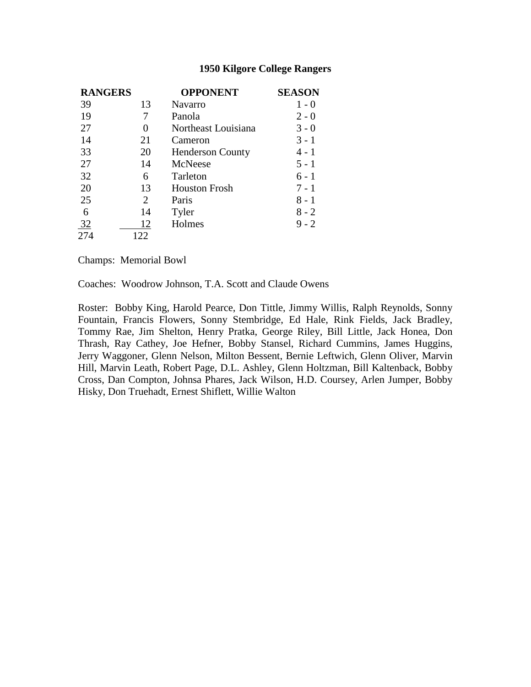| <b>RANGERS</b> |     | <b>OPPONENT</b>         | <b>SEASON</b> |
|----------------|-----|-------------------------|---------------|
| 39             | 13  | <b>Navarro</b>          | $1 - 0$       |
| 19             | 7   | Panola                  | $2 - 0$       |
| 27             | 0   | Northeast Louisiana     | $3 - 0$       |
| 14             | 21  | Cameron                 | $3 - 1$       |
| 33             | 20  | <b>Henderson County</b> | 4 - 1         |
| 27             | 14  | McNeese                 | $5 - 1$       |
| 32             | 6   | Tarleton                | $6 - 1$       |
| 20             | 13  | <b>Houston Frosh</b>    | $7 - 1$       |
| 25             | 2   | Paris                   | $8 - 1$       |
| 6              | 14  | Tyler                   | $8 - 2$       |
| $\frac{32}{2}$ | 12  | Holmes                  | $9 - 2$       |
| 274            | 122 |                         |               |

Champs: Memorial Bowl

Coaches: Woodrow Johnson, T.A. Scott and Claude Owens

Roster: Bobby King, Harold Pearce, Don Tittle, Jimmy Willis, Ralph Reynolds, Sonny Fountain, Francis Flowers, Sonny Stembridge, Ed Hale, Rink Fields, Jack Bradley, Tommy Rae, Jim Shelton, Henry Pratka, George Riley, Bill Little, Jack Honea, Don Thrash, Ray Cathey, Joe Hefner, Bobby Stansel, Richard Cummins, James Huggins, Jerry Waggoner, Glenn Nelson, Milton Bessent, Bernie Leftwich, Glenn Oliver, Marvin Hill, Marvin Leath, Robert Page, D.L. Ashley, Glenn Holtzman, Bill Kaltenback, Bobby Cross, Dan Compton, Johnsa Phares, Jack Wilson, H.D. Coursey, Arlen Jumper, Bobby Hisky, Don Truehadt, Ernest Shiflett, Willie Walton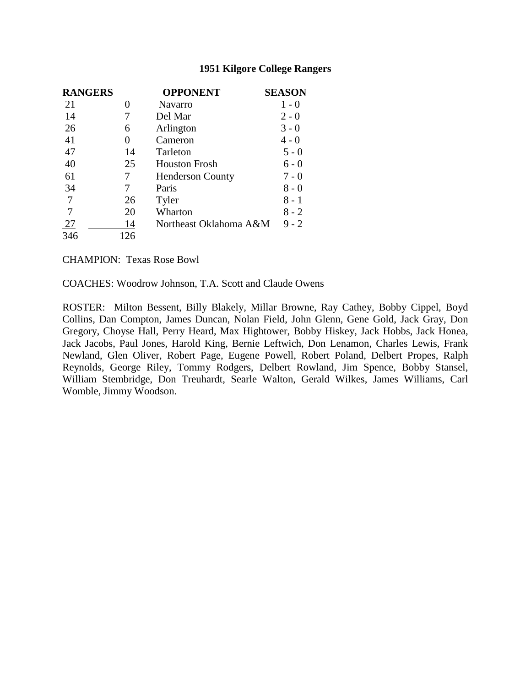| <b>RANGERS</b> |     | <b>OPPONENT</b>         | <b>SEASON</b> |
|----------------|-----|-------------------------|---------------|
| 21             | 0   | <b>Navarro</b>          | $1 - 0$       |
| 14             |     | Del Mar                 | $2 - 0$       |
| 26             | 6   | Arlington               | $3 - 0$       |
| 41             | 0   | Cameron                 | $4 - 0$       |
| 47             | 14  | Tarleton                | $5 - 0$       |
| 40             | 25  | <b>Houston Frosh</b>    | $6 - 0$       |
| 61             | 7   | <b>Henderson County</b> | $7 - 0$       |
| 34             | 7   | Paris                   | $8 - 0$       |
| $\overline{7}$ | 26  | Tyler                   | 8 - 1         |
|                | 20  | Wharton                 | $8 - 2$       |
| 27             | 14  | Northeast Oklahoma A&M  | $9 - 2$       |
| 346            | 126 |                         |               |

CHAMPION: Texas Rose Bowl

COACHES: Woodrow Johnson, T.A. Scott and Claude Owens

ROSTER: Milton Bessent, Billy Blakely, Millar Browne, Ray Cathey, Bobby Cippel, Boyd Collins, Dan Compton, James Duncan, Nolan Field, John Glenn, Gene Gold, Jack Gray, Don Gregory, Choyse Hall, Perry Heard, Max Hightower, Bobby Hiskey, Jack Hobbs, Jack Honea, Jack Jacobs, Paul Jones, Harold King, Bernie Leftwich, Don Lenamon, Charles Lewis, Frank Newland, Glen Oliver, Robert Page, Eugene Powell, Robert Poland, Delbert Propes, Ralph Reynolds, George Riley, Tommy Rodgers, Delbert Rowland, Jim Spence, Bobby Stansel, William Stembridge, Don Treuhardt, Searle Walton, Gerald Wilkes, James Williams, Carl Womble, Jimmy Woodson.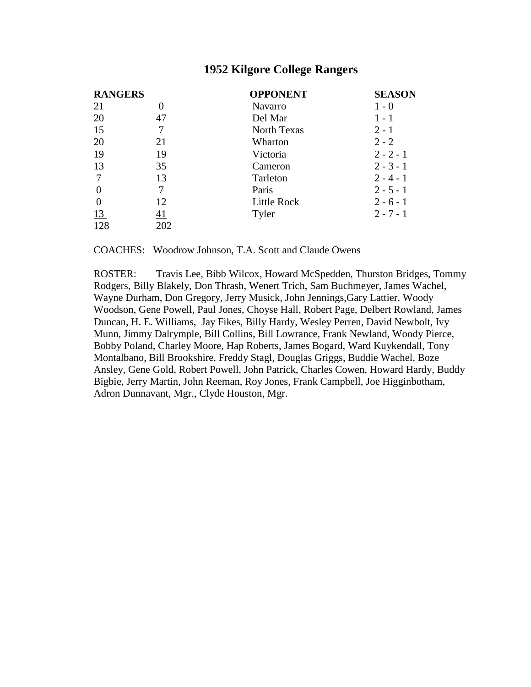| <b>RANGERS</b> |           | <b>OPPONENT</b> | <b>SEASON</b> |
|----------------|-----------|-----------------|---------------|
| 21             | O         | <b>Navarro</b>  | $1 - 0$       |
| 20             | 47        | Del Mar         | $1 - 1$       |
| 15             |           | North Texas     | $2 - 1$       |
| 20             | 21        | Wharton         | $2 - 2$       |
| 19             | 19        | Victoria        | $2 - 2 - 1$   |
| 13             | 35        | Cameron         | $2 - 3 - 1$   |
| 7              | 13        | Tarleton        | $2 - 4 - 1$   |
| 0              |           | Paris           | $2 - 5 - 1$   |
| $\theta$       | 12        | Little Rock     | $2 - 6 - 1$   |
| <u>13</u>      | <u>41</u> | Tyler           | $2 - 7 - 1$   |
| 128            | 202       |                 |               |

COACHES: Woodrow Johnson, T.A. Scott and Claude Owens

ROSTER: Travis Lee, Bibb Wilcox, Howard McSpedden, Thurston Bridges, Tommy Rodgers, Billy Blakely, Don Thrash, Wenert Trich, Sam Buchmeyer, James Wachel, Wayne Durham, Don Gregory, Jerry Musick, John Jennings,Gary Lattier, Woody Woodson, Gene Powell, Paul Jones, Choyse Hall, Robert Page, Delbert Rowland, James Duncan, H. E. Williams, Jay Fikes, Billy Hardy, Wesley Perren, David Newbolt, Ivy Munn, Jimmy Dalrymple, Bill Collins, Bill Lowrance, Frank Newland, Woody Pierce, Bobby Poland, Charley Moore, Hap Roberts, James Bogard, Ward Kuykendall, Tony Montalbano, Bill Brookshire, Freddy Stagl, Douglas Griggs, Buddie Wachel, Boze Ansley, Gene Gold, Robert Powell, John Patrick, Charles Cowen, Howard Hardy, Buddy Bigbie, Jerry Martin, John Reeman, Roy Jones, Frank Campbell, Joe Higginbotham, Adron Dunnavant, Mgr., Clyde Houston, Mgr.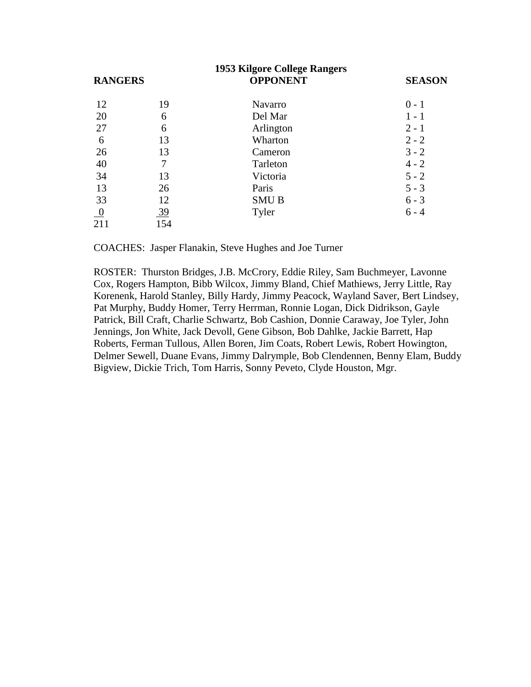| 1953 Kilgore College Rangers |     |                 |               |  |
|------------------------------|-----|-----------------|---------------|--|
| <b>RANGERS</b>               |     | <b>OPPONENT</b> | <b>SEASON</b> |  |
| 12                           | 19  | <b>Navarro</b>  | $0 - 1$       |  |
| 20                           | 6   | Del Mar         | $1 - 1$       |  |
| 27                           | 6   | Arlington       | $2 - 1$       |  |
| 6                            | 13  | Wharton         | $2 - 2$       |  |
| 26                           | 13  | Cameron         | $3 - 2$       |  |
| 40                           | 7   | Tarleton        | $4 - 2$       |  |
| 34                           | 13  | Victoria        | $5 - 2$       |  |
| 13                           | 26  | Paris           | $5 - 3$       |  |
| 33                           | 12  | <b>SMUB</b>     | $6 - 3$       |  |
| $\overline{0}$               | 39  | Tyler           | $6 - 4$       |  |
| 211                          | 154 |                 |               |  |

COACHES: Jasper Flanakin, Steve Hughes and Joe Turner

ROSTER: Thurston Bridges, J.B. McCrory, Eddie Riley, Sam Buchmeyer, Lavonne Cox, Rogers Hampton, Bibb Wilcox, Jimmy Bland, Chief Mathiews, Jerry Little, Ray Korenenk, Harold Stanley, Billy Hardy, Jimmy Peacock, Wayland Saver, Bert Lindsey, Pat Murphy, Buddy Homer, Terry Herrman, Ronnie Logan, Dick Didrikson, Gayle Patrick, Bill Craft, Charlie Schwartz, Bob Cashion, Donnie Caraway, Joe Tyler, John Jennings, Jon White, Jack Devoll, Gene Gibson, Bob Dahlke, Jackie Barrett, Hap Roberts, Ferman Tullous, Allen Boren, Jim Coats, Robert Lewis, Robert Howington, Delmer Sewell, Duane Evans, Jimmy Dalrymple, Bob Clendennen, Benny Elam, Buddy Bigview, Dickie Trich, Tom Harris, Sonny Peveto, Clyde Houston, Mgr.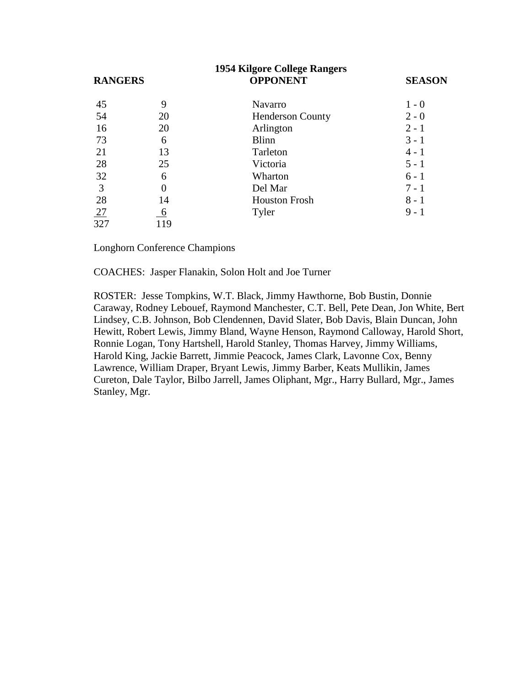| <b>1954 Kilgore College Rangers</b> |     |                         |               |  |
|-------------------------------------|-----|-------------------------|---------------|--|
| <b>RANGERS</b>                      |     | <b>OPPONENT</b>         | <b>SEASON</b> |  |
| 45                                  | 9   | <b>Navarro</b>          | $1 - 0$       |  |
| 54                                  | 20  | <b>Henderson County</b> | $2 - 0$       |  |
| 16                                  | 20  | Arlington               | $2 - 1$       |  |
| 73                                  | 6   | <b>Blinn</b>            | $3 - 1$       |  |
| 21                                  | 13  | Tarleton                | $4 - 1$       |  |
| 28                                  | 25  | Victoria                | $5 - 1$       |  |
| 32                                  | 6   | Wharton                 | $6 - 1$       |  |
| 3                                   | 0   | Del Mar                 | $7 - 1$       |  |
| 28                                  | 14  | <b>Houston Frosh</b>    | $8 - 1$       |  |
| 27                                  | 6   | Tyler                   | $9 - 1$       |  |
| 327                                 | 119 |                         |               |  |

Longhorn Conference Champions

COACHES: Jasper Flanakin, Solon Holt and Joe Turner

ROSTER: Jesse Tompkins, W.T. Black, Jimmy Hawthorne, Bob Bustin, Donnie Caraway, Rodney Lebouef, Raymond Manchester, C.T. Bell, Pete Dean, Jon White, Bert Lindsey, C.B. Johnson, Bob Clendennen, David Slater, Bob Davis, Blain Duncan, John Hewitt, Robert Lewis, Jimmy Bland, Wayne Henson, Raymond Calloway, Harold Short, Ronnie Logan, Tony Hartshell, Harold Stanley, Thomas Harvey, Jimmy Williams, Harold King, Jackie Barrett, Jimmie Peacock, James Clark, Lavonne Cox, Benny Lawrence, William Draper, Bryant Lewis, Jimmy Barber, Keats Mullikin, James Cureton, Dale Taylor, Bilbo Jarrell, James Oliphant, Mgr., Harry Bullard, Mgr., James Stanley, Mgr.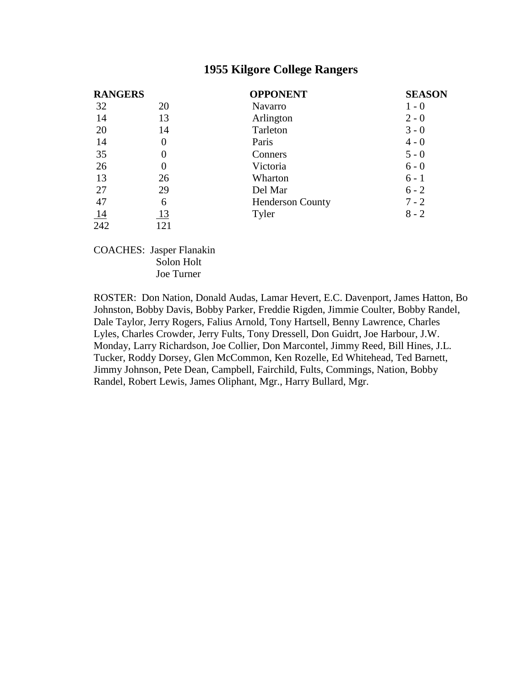| <b>RANGERS</b> |          | <b>OPPONENT</b>         | <b>SEASON</b> |
|----------------|----------|-------------------------|---------------|
| 32             | 20       | Navarro                 | $1 - 0$       |
| 14             | 13       | Arlington               | $2 - 0$       |
| 20             | 14       | Tarleton                | $3 - 0$       |
| 14             | $\theta$ | Paris                   | $4 - 0$       |
| 35             |          | Conners                 | $5 - 0$       |
| 26             |          | Victoria                | $6 - 0$       |
| 13             | 26       | Wharton                 | $6 - 1$       |
| 27             | 29       | Del Mar                 | $6 - 2$       |
| 47             | 6        | <b>Henderson County</b> | $7 - 2$       |
| 14             | 13       | Tyler                   | $8 - 2$       |
| 242            | 121      |                         |               |

COACHES: Jasper Flanakin Solon Holt Joe Turner

ROSTER: Don Nation, Donald Audas, Lamar Hevert, E.C. Davenport, James Hatton, Bo Johnston, Bobby Davis, Bobby Parker, Freddie Rigden, Jimmie Coulter, Bobby Randel, Dale Taylor, Jerry Rogers, Falius Arnold, Tony Hartsell, Benny Lawrence, Charles Lyles, Charles Crowder, Jerry Fults, Tony Dressell, Don Guidrt, Joe Harbour, J.W. Monday, Larry Richardson, Joe Collier, Don Marcontel, Jimmy Reed, Bill Hines, J.L. Tucker, Roddy Dorsey, Glen McCommon, Ken Rozelle, Ed Whitehead, Ted Barnett, Jimmy Johnson, Pete Dean, Campbell, Fairchild, Fults, Commings, Nation, Bobby Randel, Robert Lewis, James Oliphant, Mgr., Harry Bullard, Mgr.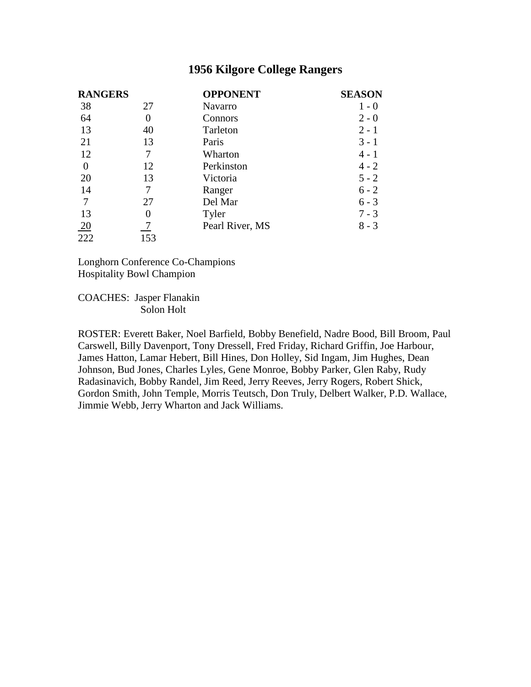| <b>RANGERS</b>   |     | <b>OPPONENT</b> | <b>SEASON</b> |
|------------------|-----|-----------------|---------------|
| 38               | 27  | Navarro         | $1 - 0$       |
| 64               |     | Connors         | $2 - 0$       |
| 13               | 40  | Tarleton        | $2 - 1$       |
| 21               | 13  | Paris           | $3 - 1$       |
| 12               |     | Wharton         | $4 - 1$       |
| $\theta$         | 12  | Perkinston      | $4 - 2$       |
| 20               | 13  | Victoria        | $5 - 2$       |
| 14               |     | Ranger          | $6 - 2$       |
| 7                | 27  | Del Mar         | $6 - 3$       |
| 13               |     | Tyler           | $7 - 3$       |
|                  |     | Pearl River, MS | $8 - 3$       |
| $\frac{20}{222}$ | 153 |                 |               |

Longhorn Conference Co-Champions Hospitality Bowl Champion

COACHES: Jasper Flanakin Solon Holt

ROSTER: Everett Baker, Noel Barfield, Bobby Benefield, Nadre Bood, Bill Broom, Paul Carswell, Billy Davenport, Tony Dressell, Fred Friday, Richard Griffin, Joe Harbour, James Hatton, Lamar Hebert, Bill Hines, Don Holley, Sid Ingam, Jim Hughes, Dean Johnson, Bud Jones, Charles Lyles, Gene Monroe, Bobby Parker, Glen Raby, Rudy Radasinavich, Bobby Randel, Jim Reed, Jerry Reeves, Jerry Rogers, Robert Shick, Gordon Smith, John Temple, Morris Teutsch, Don Truly, Delbert Walker, P.D. Wallace, Jimmie Webb, Jerry Wharton and Jack Williams.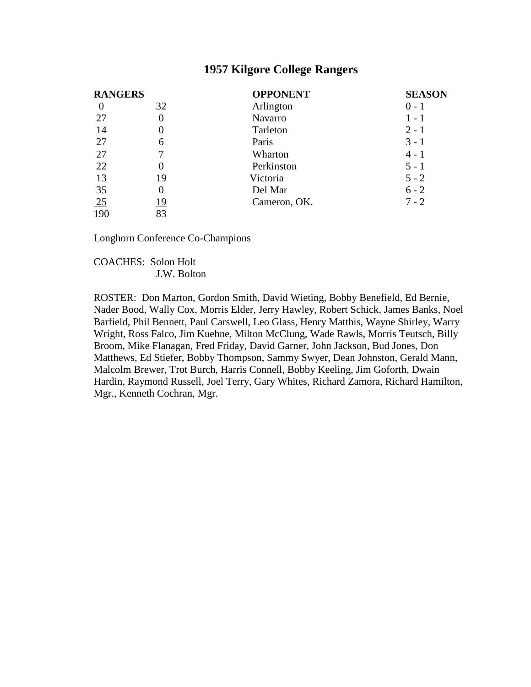| <b>RANGERS</b> |            | <b>OPPONENT</b> | <b>SEASON</b> |
|----------------|------------|-----------------|---------------|
| $\theta$       | 32         | Arlington       | $0 - 1$       |
| 27             | 0          | Navarro         | $1 - 1$       |
| 14             | $\theta$   | Tarleton        | $2 - 1$       |
| 27             | 6          | Paris           | $3 - 1$       |
| 27             |            | Wharton         | $4 - 1$       |
| 22             | $\theta$   | Perkinston      | $5 - 1$       |
| 13             | 19         | Victoria        | $5 - 2$       |
| 35             | $\theta$   | Del Mar         | $6 - 2$       |
| 25             | <u> 19</u> | Cameron, OK.    | $7 - 2$       |
| 190            | 83         |                 |               |

Longhorn Conference Co-Champions

COACHES: Solon Holt J.W. Bolton

ROSTER: Don Marton, Gordon Smith, David Wieting, Bobby Benefield, Ed Bernie, Nader Bood, Wally Cox, Morris Elder, Jerry Hawley, Robert Schick, James Banks, Noel Barfield, Phil Bennett, Paul Carswell, Leo Glass, Henry Matthis, Wayne Shirley, Warry Wright, Ross Falco, Jim Kuehne, Milton McClung, Wade Rawls, Morris Teutsch, Billy Broom, Mike Flanagan, Fred Friday, David Garner, John Jackson, Bud Jones, Don Matthews, Ed Stiefer, Bobby Thompson, Sammy Swyer, Dean Johnston, Gerald Mann, Malcolm Brewer, Trot Burch, Harris Connell, Bobby Keeling, Jim Goforth, Dwain Hardin, Raymond Russell, Joel Terry, Gary Whites, Richard Zamora, Richard Hamilton, Mgr., Kenneth Cochran, Mgr.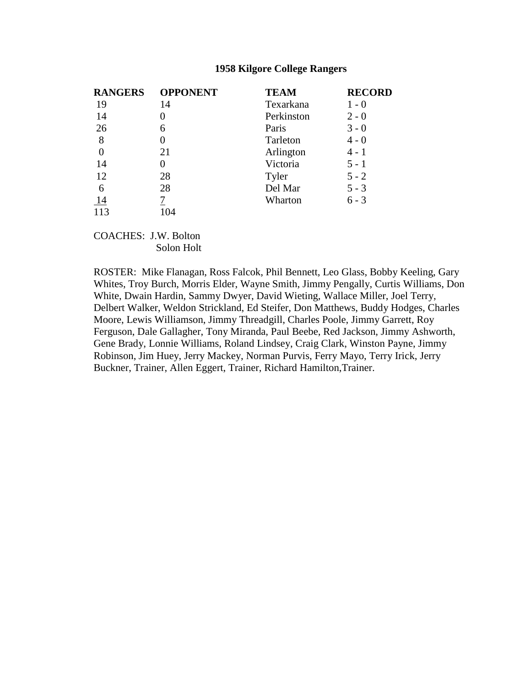| <b>RANGERS</b> | <b>OPPONENT</b> | <b>TEAM</b> | <b>RECORD</b> |
|----------------|-----------------|-------------|---------------|
| 19             | 14              | Texarkana   | $1 - 0$       |
| 14             |                 | Perkinston  | $2 - 0$       |
| 26             | 6               | Paris       | $3 - 0$       |
| 8              |                 | Tarleton    | $4 - 0$       |
| $\overline{0}$ | 21              | Arlington   | $4 - 1$       |
| 14             |                 | Victoria    | $5 - 1$       |
| 12             | 28              | Tyler       | $5 - 2$       |
| 6              | 28              | Del Mar     | $5 - 3$       |
| 14             |                 | Wharton     | $6 - 3$       |
| 113            | 104             |             |               |

COACHES: J.W. Bolton Solon Holt

ROSTER: Mike Flanagan, Ross Falcok, Phil Bennett, Leo Glass, Bobby Keeling, Gary Whites, Troy Burch, Morris Elder, Wayne Smith, Jimmy Pengally, Curtis Williams, Don White, Dwain Hardin, Sammy Dwyer, David Wieting, Wallace Miller, Joel Terry, Delbert Walker, Weldon Strickland, Ed Steifer, Don Matthews, Buddy Hodges, Charles Moore, Lewis Williamson, Jimmy Threadgill, Charles Poole, Jimmy Garrett, Roy Ferguson, Dale Gallagher, Tony Miranda, Paul Beebe, Red Jackson, Jimmy Ashworth, Gene Brady, Lonnie Williams, Roland Lindsey, Craig Clark, Winston Payne, Jimmy Robinson, Jim Huey, Jerry Mackey, Norman Purvis, Ferry Mayo, Terry Irick, Jerry Buckner, Trainer, Allen Eggert, Trainer, Richard Hamilton,Trainer.